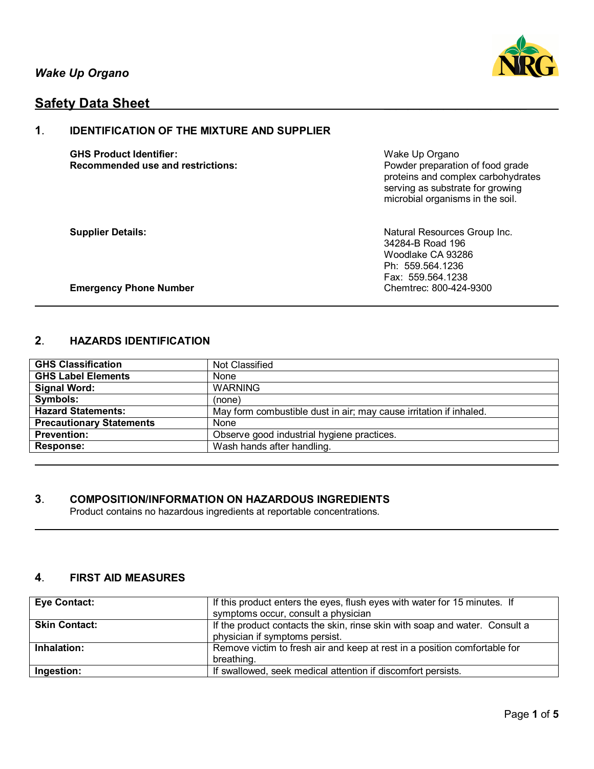

# **Safety Data Sheet**

# **1**. **IDENTIFICATION OF THE MIXTURE AND SUPPLIER**

**GHS Product Identifier:** Wake Up Organo **Recommended use and restrictions: Powder preparation of food grade** 

proteins and complex carbohydrates serving as substrate for growing microbial organisms in the soil.

**Supplier Details:** Natural Resources Group Inc. 34284-B Road 196 Woodlake CA 93286 Ph: 559.564.1236 Fax: 559.564.1238<br>Chemtrec: 800-424-9300

**Emergency Phone Number** 

# **2**. **HAZARDS IDENTIFICATION**

| <b>GHS Classification</b>       | Not Classified                                                     |
|---------------------------------|--------------------------------------------------------------------|
| <b>GHS Label Elements</b>       | None                                                               |
| <b>Signal Word:</b>             | <b>WARNING</b>                                                     |
| Symbols:                        | (none)                                                             |
| <b>Hazard Statements:</b>       | May form combustible dust in air; may cause irritation if inhaled. |
| <b>Precautionary Statements</b> | None                                                               |
| <b>Prevention:</b>              | Observe good industrial hygiene practices.                         |
| <b>Response:</b>                | Wash hands after handling.                                         |

# **3**. **COMPOSITION/INFORMATION ON HAZARDOUS INGREDIENTS**

Product contains no hazardous ingredients at reportable concentrations.

# **4**. **FIRST AID MEASURES**

| <b>Eye Contact:</b>  | If this product enters the eyes, flush eyes with water for 15 minutes. If   |
|----------------------|-----------------------------------------------------------------------------|
|                      | symptoms occur, consult a physician                                         |
| <b>Skin Contact:</b> | If the product contacts the skin, rinse skin with soap and water. Consult a |
|                      | physician if symptoms persist.                                              |
| Inhalation:          | Remove victim to fresh air and keep at rest in a position comfortable for   |
|                      | breathing.                                                                  |
| Ingestion:           | If swallowed, seek medical attention if discomfort persists.                |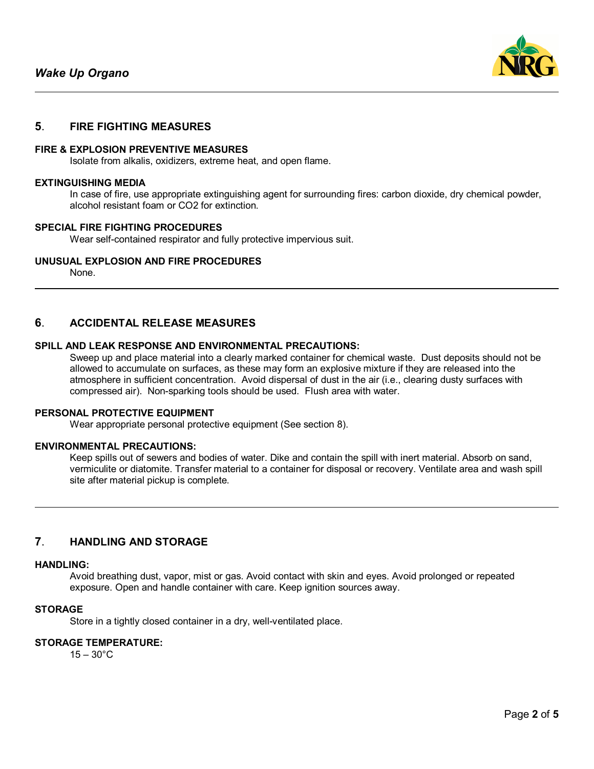

### **5**. **FIRE FIGHTING MEASURES**

### **FIRE & EXPLOSION PREVENTIVE MEASURES**

Isolate from alkalis, oxidizers, extreme heat, and open flame.

#### **EXTINGUISHING MEDIA**

In case of fire, use appropriate extinguishing agent for surrounding fires: carbon dioxide, dry chemical powder, alcohol resistant foam or CO2 for extinction.

#### **SPECIAL FIRE FIGHTING PROCEDURES**

Wear self-contained respirator and fully protective impervious suit.

### **UNUSUAL EXPLOSION AND FIRE PROCEDURES**

None.

# **6**. **ACCIDENTAL RELEASE MEASURES**

#### **SPILL AND LEAK RESPONSE AND ENVIRONMENTAL PRECAUTIONS:**

Sweep up and place material into a clearly marked container for chemical waste. Dust deposits should not be allowed to accumulate on surfaces, as these may form an explosive mixture if they are released into the atmosphere in sufficient concentration. Avoid dispersal of dust in the air (i.e., clearing dusty surfaces with compressed air). Non-sparking tools should be used. Flush area with water.

#### **PERSONAL PROTECTIVE EQUIPMENT**

Wear appropriate personal protective equipment (See section 8).

#### **ENVIRONMENTAL PRECAUTIONS:**

Keep spills out of sewers and bodies of water. Dike and contain the spill with inert material. Absorb on sand, vermiculite or diatomite. Transfer material to a container for disposal or recovery. Ventilate area and wash spill site after material pickup is complete.

# **7**. **HANDLING AND STORAGE**

#### **HANDLING:**

Avoid breathing dust, vapor, mist or gas. Avoid contact with skin and eyes. Avoid prolonged or repeated exposure. Open and handle container with care. Keep ignition sources away.

#### **STORAGE**

Store in a tightly closed container in a dry, well-ventilated place.

#### **STORAGE TEMPERATURE:**

 $15 - 30^{\circ}$ C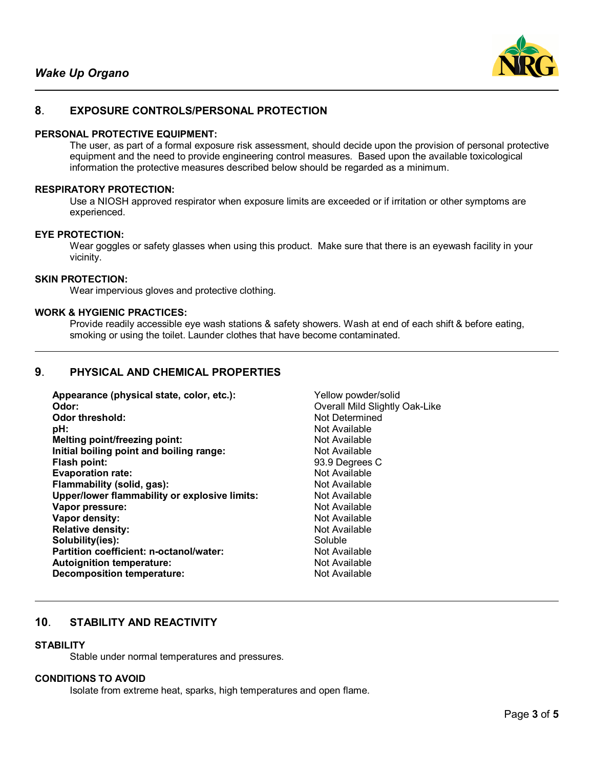

# **8**. **EXPOSURE CONTROLS/PERSONAL PROTECTION**

### **PERSONAL PROTECTIVE EQUIPMENT:**

The user, as part of a formal exposure risk assessment, should decide upon the provision of personal protective equipment and the need to provide engineering control measures. Based upon the available toxicological information the protective measures described below should be regarded as a minimum.

#### **RESPIRATORY PROTECTION:**

Use a NIOSH approved respirator when exposure limits are exceeded or if irritation or other symptoms are experienced.

### **EYE PROTECTION:**

Wear goggles or safety glasses when using this product. Make sure that there is an eyewash facility in your vicinity.

### **SKIN PROTECTION:**

Wear impervious gloves and protective clothing.

#### **WORK & HYGIENIC PRACTICES:**

Provide readily accessible eye wash stations & safety showers. Wash at end of each shift & before eating, smoking or using the toilet. Launder clothes that have become contaminated.

# **9**. **PHYSICAL AND CHEMICAL PROPERTIES**

| Yellow powder/solid            |
|--------------------------------|
| Overall Mild Slightly Oak-Like |
| Not Determined                 |
| Not Available                  |
| Not Available                  |
| Not Available                  |
| 93.9 Degrees C                 |
| Not Available                  |
| Not Available                  |
| Not Available                  |
| Not Available                  |
| Not Available                  |
| Not Available                  |
| Soluble                        |
| Not Available                  |
| Not Available                  |
| Not Available                  |
|                                |

# **10**. **STABILITY AND REACTIVITY**

### **STABILITY**

Stable under normal temperatures and pressures.

### **CONDITIONS TO AVOID**

Isolate from extreme heat, sparks, high temperatures and open flame.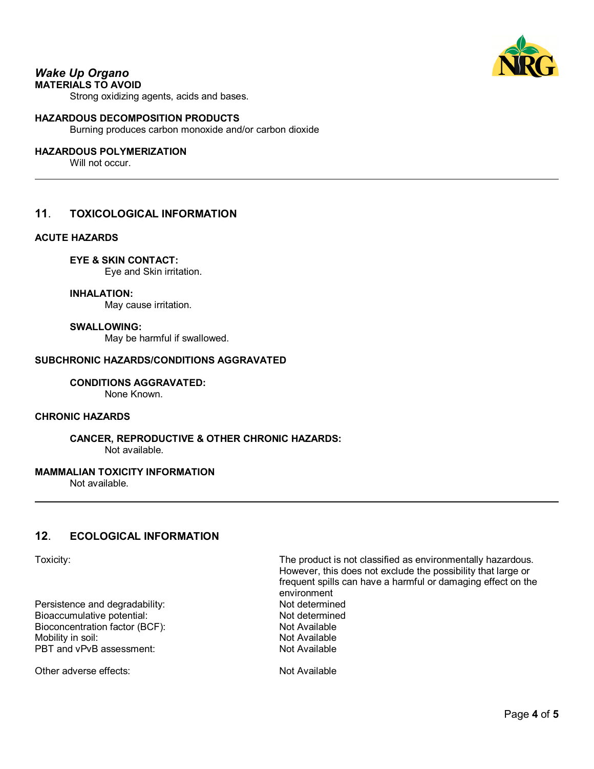

# *Wake Up Organo*

**MATERIALS TO AVOID**

Strong oxidizing agents, acids and bases.

### **HAZARDOUS DECOMPOSITION PRODUCTS**

Burning produces carbon monoxide and/or carbon dioxide

# **HAZARDOUS POLYMERIZATION**

Will not occur.

# **11**. **TOXICOLOGICAL INFORMATION**

### **ACUTE HAZARDS**

**EYE & SKIN CONTACT:**

Eye and Skin irritation.

**INHALATION:**

May cause irritation.

#### **SWALLOWING:**

May be harmful if swallowed.

### **SUBCHRONIC HAZARDS/CONDITIONS AGGRAVATED**

**CONDITIONS AGGRAVATED:** None Known.

# **CHRONIC HAZARDS**

**CANCER, REPRODUCTIVE & OTHER CHRONIC HAZARDS:** Not available.

### **MAMMALIAN TOXICITY INFORMATION**

Not available.

# **12**. **ECOLOGICAL INFORMATION**

Persistence and degradability: Not determined Bioaccumulative potential: Not determined Bioconcentration factor (BCF): Not Available Mobility in soil: Not Available PBT and vPvB assessment: Not Available

Other adverse effects: Not Available

Toxicity: The product is not classified as environmentally hazardous. However, this does not exclude the possibility that large or frequent spills can have a harmful or damaging effect on the environment